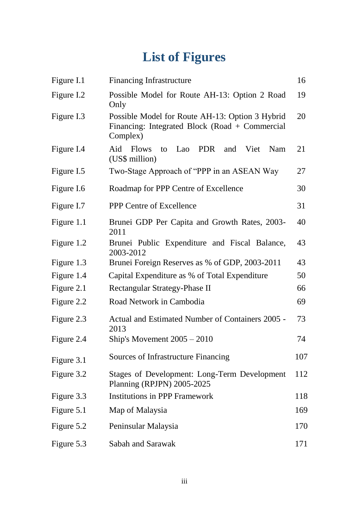## **List of Figures**

| Figure I.1 | <b>Financing Infrastructure</b>                                                                               | 16  |
|------------|---------------------------------------------------------------------------------------------------------------|-----|
| Figure I.2 | Possible Model for Route AH-13: Option 2 Road<br>Only                                                         | 19  |
| Figure I.3 | Possible Model for Route AH-13: Option 3 Hybrid<br>Financing: Integrated Block (Road + Commercial<br>Complex) | 20  |
| Figure I.4 | Aid<br>PDR<br><b>Flows</b><br>Lao<br>and<br>Viet<br>Nam<br>to<br>(US\$ million)                               | 21  |
| Figure I.5 | Two-Stage Approach of "PPP in an ASEAN Way                                                                    | 27  |
| Figure I.6 | Roadmap for PPP Centre of Excellence                                                                          | 30  |
| Figure I.7 | PPP Centre of Excellence                                                                                      | 31  |
| Figure 1.1 | Brunei GDP Per Capita and Growth Rates, 2003-<br>2011                                                         | 40  |
| Figure 1.2 | Brunei Public Expenditure and Fiscal Balance,<br>2003-2012                                                    | 43  |
| Figure 1.3 | Brunei Foreign Reserves as % of GDP, 2003-2011                                                                | 43  |
| Figure 1.4 | Capital Expenditure as % of Total Expenditure                                                                 | 50  |
| Figure 2.1 | Rectangular Strategy-Phase II                                                                                 | 66  |
| Figure 2.2 | Road Network in Cambodia                                                                                      | 69  |
| Figure 2.3 | Actual and Estimated Number of Containers 2005 -<br>2013                                                      | 73  |
| Figure 2.4 | Ship's Movement $2005 - 2010$                                                                                 | 74  |
| Figure 3.1 | Sources of Infrastructure Financing                                                                           | 107 |
| Figure 3.2 | <b>Stages of Development: Long-Term Development</b><br>Planning (RPJPN) 2005-2025                             | 112 |
| Figure 3.3 | <b>Institutions in PPP Framework</b>                                                                          | 118 |
| Figure 5.1 | Map of Malaysia                                                                                               | 169 |
| Figure 5.2 | Peninsular Malaysia                                                                                           | 170 |
| Figure 5.3 | Sabah and Sarawak                                                                                             | 171 |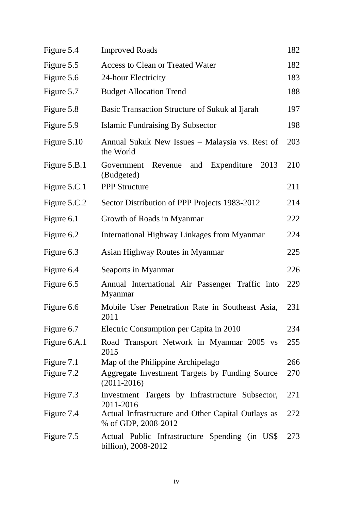| Figure 5.4   | <b>Improved Roads</b>                                                     | 182 |
|--------------|---------------------------------------------------------------------------|-----|
| Figure 5.5   | <b>Access to Clean or Treated Water</b>                                   | 182 |
| Figure 5.6   | 24-hour Electricity                                                       | 183 |
| Figure 5.7   | <b>Budget Allocation Trend</b>                                            | 188 |
| Figure 5.8   | Basic Transaction Structure of Sukuk al Ijarah                            | 197 |
| Figure 5.9   | <b>Islamic Fundraising By Subsector</b>                                   | 198 |
| Figure 5.10  | Annual Sukuk New Issues - Malaysia vs. Rest of<br>the World               | 203 |
| Figure 5.B.1 | Expenditure<br>2013<br>Revenue<br>and<br>Government<br>(Budgeted)         | 210 |
| Figure 5.C.1 | <b>PPP Structure</b>                                                      | 211 |
| Figure 5.C.2 | Sector Distribution of PPP Projects 1983-2012                             | 214 |
| Figure 6.1   | Growth of Roads in Myanmar                                                | 222 |
| Figure 6.2   | <b>International Highway Linkages from Myanmar</b>                        | 224 |
| Figure 6.3   | Asian Highway Routes in Myanmar                                           | 225 |
| Figure 6.4   | Seaports in Myanmar                                                       | 226 |
| Figure 6.5   | Annual International Air Passenger Traffic into<br>Myanmar                | 229 |
| Figure 6.6   | Mobile User Penetration Rate in Southeast Asia,<br>2011                   | 231 |
| Figure 6.7   | Electric Consumption per Capita in 2010                                   | 234 |
| Figure 6.A.1 | Road Transport Network in Myanmar 2005 vs<br>2015                         | 255 |
| Figure 7.1   | Map of the Philippine Archipelago                                         | 266 |
| Figure 7.2   | Aggregate Investment Targets by Funding Source<br>$(2011 - 2016)$         | 270 |
| Figure 7.3   | Investment Targets by Infrastructure Subsector,<br>2011-2016              | 271 |
| Figure 7.4   | Actual Infrastructure and Other Capital Outlays as<br>% of GDP, 2008-2012 | 272 |
| Figure 7.5   | Actual Public Infrastructure Spending (in US\$<br>billion), 2008-2012     | 273 |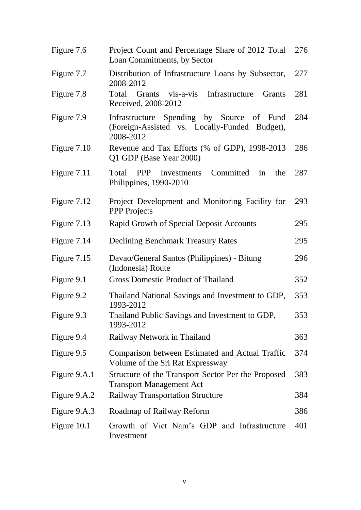| Figure 7.6   | Project Count and Percentage Share of 2012 Total<br>Loan Commitments, by Sector                         | 276 |
|--------------|---------------------------------------------------------------------------------------------------------|-----|
| Figure 7.7   | Distribution of Infrastructure Loans by Subsector,<br>2008-2012                                         | 277 |
| Figure 7.8   | Total Grants vis-a-vis Infrastructure<br>Grants<br>Received, 2008-2012                                  | 281 |
| Figure 7.9   | Infrastructure Spending by Source of Fund<br>(Foreign-Assisted vs. Locally-Funded Budget),<br>2008-2012 | 284 |
| Figure 7.10  | Revenue and Tax Efforts (% of GDP), 1998-2013<br>Q1 GDP (Base Year 2000)                                | 286 |
| Figure 7.11  | <b>PPP</b> Investments<br>Committed<br>Total<br>in<br>the<br>Philippines, 1990-2010                     | 287 |
| Figure 7.12  | Project Development and Monitoring Facility for<br><b>PPP</b> Projects                                  | 293 |
| Figure 7.13  | Rapid Growth of Special Deposit Accounts                                                                | 295 |
| Figure 7.14  | <b>Declining Benchmark Treasury Rates</b>                                                               | 295 |
| Figure 7.15  | Davao/General Santos (Philippines) - Bitung<br>(Indonesia) Route                                        | 296 |
| Figure 9.1   | <b>Gross Domestic Product of Thailand</b>                                                               | 352 |
| Figure 9.2   | Thailand National Savings and Investment to GDP,<br>1993-2012                                           | 353 |
| Figure 9.3   | Thailand Public Savings and Investment to GDP,<br>1993-2012                                             | 353 |
| Figure 9.4   | Railway Network in Thailand                                                                             | 363 |
| Figure 9.5   | Comparison between Estimated and Actual Traffic<br>Volume of the Sri Rat Expressway                     | 374 |
| Figure 9.A.1 | Structure of the Transport Sector Per the Proposed<br><b>Transport Management Act</b>                   | 383 |
| Figure 9.A.2 | <b>Railway Transportation Structure</b>                                                                 | 384 |
| Figure 9.A.3 | Roadmap of Railway Reform                                                                               | 386 |
| Figure 10.1  | Growth of Viet Nam's GDP and Infrastructure<br>Investment                                               | 401 |